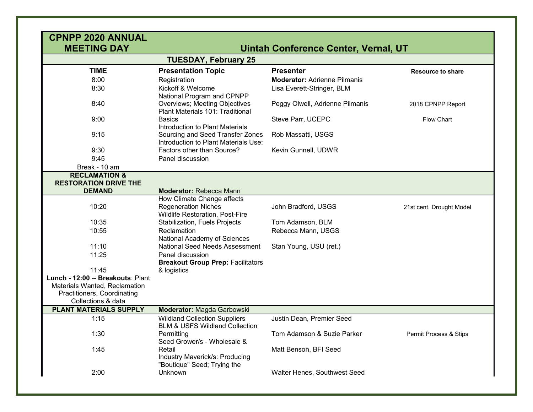| <b>CPNPP 2020 ANNUAL</b><br><b>MEETING DAY</b>               |                                                                                   | Uintah Conference Center, Vernal, UT |                          |  |  |
|--------------------------------------------------------------|-----------------------------------------------------------------------------------|--------------------------------------|--------------------------|--|--|
| <b>TUESDAY, February 25</b>                                  |                                                                                   |                                      |                          |  |  |
| <b>TIME</b>                                                  | <b>Presentation Topic</b>                                                         | <b>Presenter</b>                     | <b>Resource to share</b> |  |  |
| 8:00                                                         | Registration                                                                      | <b>Moderator: Adrienne Pilmanis</b>  |                          |  |  |
| 8:30                                                         | Kickoff & Welcome<br>National Program and CPNPP                                   | Lisa Everett-Stringer, BLM           |                          |  |  |
| 8:40                                                         | Overviews; Meeting Objectives<br>Plant Materials 101: Traditional                 | Peggy Olwell, Adrienne Pilmanis      | 2018 CPNPP Report        |  |  |
| 9:00                                                         | <b>Basics</b><br>Introduction to Plant Materials                                  | Steve Parr, UCEPC                    | Flow Chart               |  |  |
| 9:15                                                         | Sourcing and Seed Transfer Zones<br>Introduction to Plant Materials Use:          | Rob Massatti, USGS                   |                          |  |  |
| 9:30                                                         | Factors other than Source?                                                        | Kevin Gunnell, UDWR                  |                          |  |  |
| 9:45                                                         | Panel discussion                                                                  |                                      |                          |  |  |
| Break - 10 am                                                |                                                                                   |                                      |                          |  |  |
| <b>RECLAMATION &amp;</b><br><b>RESTORATION DRIVE THE</b>     |                                                                                   |                                      |                          |  |  |
| <b>DEMAND</b>                                                | <b>Moderator: Rebecca Mann</b>                                                    |                                      |                          |  |  |
|                                                              | How Climate Change affects                                                        |                                      |                          |  |  |
| 10:20                                                        | <b>Regeneration Niches</b><br><b>Wildlife Restoration, Post-Fire</b>              | John Bradford, USGS                  | 21st cent. Drought Model |  |  |
| 10:35                                                        | Stabilization, Fuels Projects                                                     | Tom Adamson, BLM                     |                          |  |  |
| 10:55                                                        | Reclamation<br>National Academy of Sciences                                       | Rebecca Mann, USGS                   |                          |  |  |
| 11:10                                                        | National Seed Needs Assessment                                                    | Stan Young, USU (ret.)               |                          |  |  |
| 11:25                                                        | Panel discussion<br><b>Breakout Group Prep: Facilitators</b>                      |                                      |                          |  |  |
| 11:45                                                        | & logistics                                                                       |                                      |                          |  |  |
| Lunch - 12:00 -- Breakouts: Plant                            |                                                                                   |                                      |                          |  |  |
| Materials Wanted, Reclamation<br>Practitioners, Coordinating |                                                                                   |                                      |                          |  |  |
| Collections & data                                           |                                                                                   |                                      |                          |  |  |
| PLANT MATERIALS SUPPLY                                       | Moderator: Magda Garbowski                                                        |                                      |                          |  |  |
| 1:15                                                         | <b>Wildland Collection Suppliers</b><br><b>BLM &amp; USFS Wildland Collection</b> | Justin Dean, Premier Seed            |                          |  |  |
| 1:30                                                         | Permitting<br>Seed Grower/s - Wholesale &                                         | Tom Adamson & Suzie Parker           | Permit Process & Stips   |  |  |
| 1:45                                                         | Retail<br>Industry Maverick/s: Producing<br>"Boutique" Seed; Trying the           | Matt Benson, BFI Seed                |                          |  |  |
| 2:00                                                         | Unknown                                                                           | Walter Henes, Southwest Seed         |                          |  |  |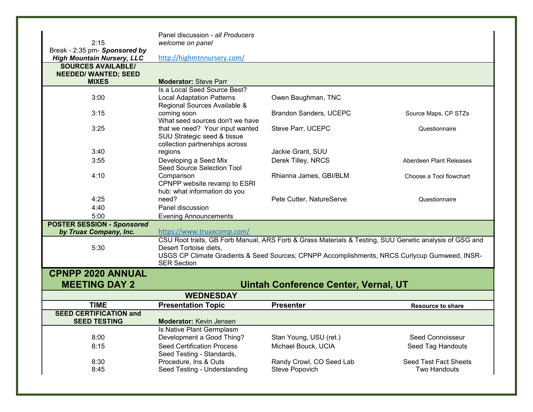| 2:15                                                        | Panel discussion - all Producers<br>welcome on panel |                                                                                                        |                          |
|-------------------------------------------------------------|------------------------------------------------------|--------------------------------------------------------------------------------------------------------|--------------------------|
| Break - 2:35 pm- Sponsored by                               |                                                      |                                                                                                        |                          |
| <b>High Mountain Nursery, LLC</b>                           | http://highmtnnursery.com/                           |                                                                                                        |                          |
| <b>SOURCES AVAILABLE/</b>                                   |                                                      |                                                                                                        |                          |
| <b>NEEDED/ WANTED; SEED</b>                                 |                                                      |                                                                                                        |                          |
| <b>MIXES</b>                                                | <b>Moderator: Steve Parr</b>                         |                                                                                                        |                          |
|                                                             | Is a Local Seed Source Best?                         |                                                                                                        |                          |
| 3:00                                                        | <b>Local Adaptation Patterns</b>                     | Owen Baughman, TNC                                                                                     |                          |
| 3:15                                                        | Regional Sources Available &<br>coming soon          | Brandon Sanders, UCEPC                                                                                 |                          |
|                                                             | What seed sources don't we have                      |                                                                                                        | Source Maps, CP STZs     |
| 3:25                                                        | that we need? Your input wanted                      | Steve Parr, UCEPC                                                                                      | Questionnaire            |
|                                                             | SUU Strategic seed & tissue                          |                                                                                                        |                          |
|                                                             | collection partnerships across                       |                                                                                                        |                          |
| 3:40                                                        | regions                                              | Jackie Grant, SUU                                                                                      |                          |
| 3:55                                                        | Developing a Seed Mix                                | Derek Tilley, NRCS                                                                                     | Aberdeen Plant Releases  |
|                                                             | Seed Source Selection Tool                           |                                                                                                        |                          |
| 4:10                                                        | Comparison                                           | Rhianna James, GBI/BLM                                                                                 | Choose a Tool flowchart  |
|                                                             | CPNPP website revamp to ESRI                         |                                                                                                        |                          |
|                                                             | hub: what information do you                         |                                                                                                        |                          |
| 4:25                                                        | need?                                                | Pete Cutter, NatureServe                                                                               | Questionnaire            |
| 4:40                                                        | Panel discussion                                     |                                                                                                        |                          |
| 5:00                                                        | <b>Evening Announcements</b>                         |                                                                                                        |                          |
| <b>POSTER SESSION - Sponsored</b><br>by Truax Company, Inc. | https://www.truaxcomp.com/                           |                                                                                                        |                          |
|                                                             |                                                      | CSU Root traits, GB Forb Manual, ARS Forb & Grass Materials & Testing, SUU Genetic analysis of GSG and |                          |
| 5:30                                                        | Desert Tortoise diets,                               |                                                                                                        |                          |
|                                                             |                                                      | USGS CP Climate Gradients & Seed Sources; CPNPP Accomplishments, NRCS Curlycup Gumweed, INSR-          |                          |
|                                                             | <b>SER Section</b>                                   |                                                                                                        |                          |
| <b>CPNPP 2020 ANNUAL</b>                                    |                                                      |                                                                                                        |                          |
| <b>MEETING DAY 2</b>                                        |                                                      | <b>Uintah Conference Center, Vernal, UT</b>                                                            |                          |
|                                                             | <b>WEDNESDAY</b>                                     |                                                                                                        |                          |
| <b>TIME</b>                                                 |                                                      |                                                                                                        |                          |
| <b>SEED CERTIFICATION and</b>                               | <b>Presentation Topic</b>                            | <b>Presenter</b>                                                                                       | <b>Resource to share</b> |
| <b>SEED TESTING</b>                                         | <b>Moderator: Kevin Jensen</b>                       |                                                                                                        |                          |
|                                                             | Is Native Plant Germplasm                            |                                                                                                        |                          |
| 8:00                                                        | Development a Good Thing?                            | Stan Young, USU (ret.)                                                                                 | Seed Connoisseur         |
| 8:15                                                        | <b>Seed Certification Process</b>                    | Michael Bouck, UCIA                                                                                    | Seed Tag Handouts        |
|                                                             | Seed Testing - Standards,                            |                                                                                                        |                          |
| 8:30                                                        | Procedure, Ins & Outs                                | Randy Crowl, CO Seed Lab                                                                               | Seed Test Fact Sheets    |
| 8:45                                                        | Seed Testing - Understanding                         | Steve Popovich                                                                                         | <b>Two Handouts</b>      |
|                                                             |                                                      |                                                                                                        |                          |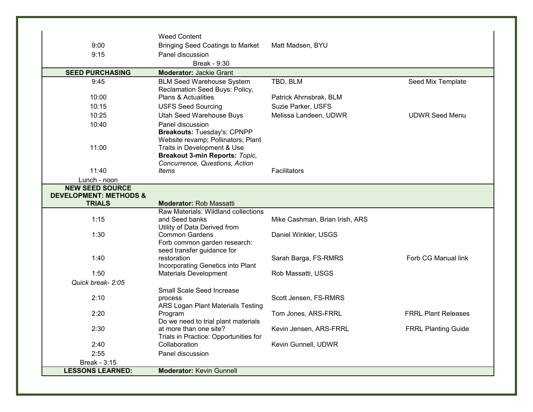|                                                                              | <b>Weed Content</b>                                                                                                                                                  |                                |                            |
|------------------------------------------------------------------------------|----------------------------------------------------------------------------------------------------------------------------------------------------------------------|--------------------------------|----------------------------|
| 9:00                                                                         | <b>Bringing Seed Coatings to Market</b>                                                                                                                              | Matt Madsen, BYU               |                            |
| 9:15                                                                         | Panel discussion                                                                                                                                                     |                                |                            |
|                                                                              | Break - 9:30                                                                                                                                                         |                                |                            |
| <b>SEED PURCHASING</b>                                                       | <b>Moderator: Jackie Grant</b>                                                                                                                                       |                                |                            |
| 9:45                                                                         | <b>BLM Seed Warehouse System</b><br>Reclamation Seed Buys: Policy,                                                                                                   | TBD, BLM                       | Seed Mix Template          |
| 10:00                                                                        | <b>Plans &amp; Actualities</b>                                                                                                                                       | Patrick Ahrnsbrak, BLM         |                            |
| 10:15                                                                        | <b>USFS Seed Sourcing</b>                                                                                                                                            | Suzie Parker, USFS             |                            |
| 10:25                                                                        | Utah Seed Warehouse Buys                                                                                                                                             | Melissa Landeen, UDWR          | <b>UDWR Seed Menu</b>      |
| 10:40                                                                        | Panel discussion                                                                                                                                                     |                                |                            |
| 11:00                                                                        | Breakouts: Tuesday's; CPNPP<br>Website revamp; Pollinators; Plant<br>Traits in Development & Use<br>Breakout 3-min Reports: Topic,<br>Concurrence, Questions, Action |                                |                            |
| 11:40                                                                        | ltems                                                                                                                                                                | Facilitators                   |                            |
| Lunch - noon                                                                 |                                                                                                                                                                      |                                |                            |
| <b>NEW SEED SOURCE</b><br><b>DEVELOPMENT: METHODS &amp;</b><br><b>TRIALS</b> | <b>Moderator: Rob Massatti</b>                                                                                                                                       |                                |                            |
|                                                                              | Raw Materials: Wildland collections                                                                                                                                  |                                |                            |
| 1:15                                                                         | and Seed banks                                                                                                                                                       | Mike Cashman, Brian Irish, ARS |                            |
|                                                                              | Utility of Data Derived from                                                                                                                                         |                                |                            |
| 1:30                                                                         | <b>Common Gardens</b>                                                                                                                                                | Daniel Winkler, USGS           |                            |
|                                                                              | Forb common garden research:                                                                                                                                         |                                |                            |
| 1:40                                                                         | seed transfer guidance for<br>restoration                                                                                                                            | Sarah Barga, FS-RMRS           | Forb CG Manual link        |
|                                                                              | Incorporating Genetics into Plant                                                                                                                                    |                                |                            |
| 1:50                                                                         | Materials Development                                                                                                                                                | Rob Massatti, USGS             |                            |
| Quick break- 2:05                                                            |                                                                                                                                                                      |                                |                            |
|                                                                              | Small Scale Seed Increase                                                                                                                                            |                                |                            |
| 2:10                                                                         | process                                                                                                                                                              | Scott Jensen, FS-RMRS          |                            |
|                                                                              | ARS Logan Plant Materials Testing                                                                                                                                    |                                |                            |
| 2:20                                                                         | Program                                                                                                                                                              | Tom Jones, ARS-FRRL            | <b>FRRL Plant Releases</b> |
|                                                                              | Do we need to trial plant materials                                                                                                                                  |                                |                            |
| 2:30                                                                         | at more than one site?                                                                                                                                               | Kevin Jensen, ARS-FRRL         | <b>FRRL Planting Guide</b> |
|                                                                              | Trials in Practice: Opportunities for                                                                                                                                |                                |                            |
| 2:40                                                                         | Collaboration                                                                                                                                                        | Kevin Gunnell, UDWR            |                            |
| 2:55                                                                         | Panel discussion                                                                                                                                                     |                                |                            |
| Break - 3:15                                                                 |                                                                                                                                                                      |                                |                            |
| <b>LESSONS LEARNED:</b>                                                      | <b>Moderator: Kevin Gunnell</b>                                                                                                                                      |                                |                            |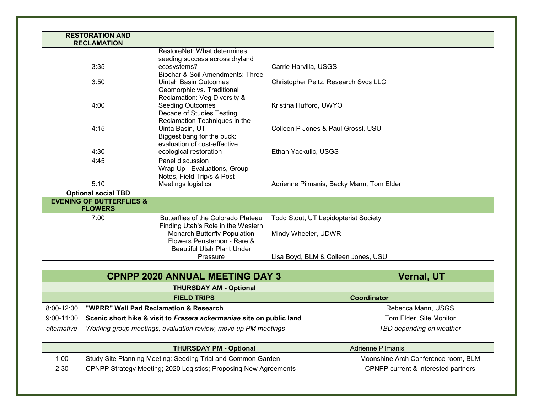|                                                                               | <b>RESTORATION AND</b><br><b>RECLAMATION</b>                                    |                                                            |                                          |
|-------------------------------------------------------------------------------|---------------------------------------------------------------------------------|------------------------------------------------------------|------------------------------------------|
|                                                                               |                                                                                 | RestoreNet: What determines                                |                                          |
|                                                                               |                                                                                 | seeding success across dryland                             |                                          |
|                                                                               | 3:35                                                                            | ecosystems?                                                | Carrie Harvilla, USGS                    |
|                                                                               |                                                                                 | Biochar & Soil Amendments: Three                           |                                          |
|                                                                               | 3:50                                                                            | <b>Uintah Basin Outcomes</b>                               | Christopher Peltz, Research Svcs LLC     |
|                                                                               |                                                                                 | Geomorphic vs. Traditional                                 |                                          |
|                                                                               |                                                                                 | Reclamation: Veg Diversity &                               |                                          |
|                                                                               | 4:00                                                                            | <b>Seeding Outcomes</b>                                    | Kristina Hufford, UWYO                   |
|                                                                               |                                                                                 | Decade of Studies Testing                                  |                                          |
|                                                                               | Reclamation Techniques in the                                                   |                                                            |                                          |
|                                                                               | 4:15                                                                            | Uinta Basin, UT                                            | Colleen P Jones & Paul Grossl, USU       |
|                                                                               |                                                                                 | Biggest bang for the buck:<br>evaluation of cost-effective |                                          |
|                                                                               | 4:30                                                                            | ecological restoration                                     | Ethan Yackulic, USGS                     |
|                                                                               | 4:45                                                                            | Panel discussion                                           |                                          |
|                                                                               |                                                                                 | Wrap-Up - Evaluations, Group                               |                                          |
|                                                                               |                                                                                 | Notes, Field Trip/s & Post-                                |                                          |
|                                                                               | 5:10                                                                            | Meetings logistics                                         | Adrienne Pilmanis, Becky Mann, Tom Elder |
|                                                                               | <b>Optional social TBD</b>                                                      |                                                            |                                          |
|                                                                               | <b>EVENING OF BUTTERFLIES &amp;</b>                                             |                                                            |                                          |
|                                                                               | <b>FLOWERS</b>                                                                  |                                                            |                                          |
|                                                                               | 7:00                                                                            | Butterflies of the Colorado Plateau                        | Todd Stout, UT Lepidopterist Society     |
|                                                                               |                                                                                 | Finding Utah's Role in the Western                         |                                          |
|                                                                               |                                                                                 | Monarch Butterfly Population                               | Mindy Wheeler, UDWR                      |
|                                                                               |                                                                                 | Flowers Penstemon - Rare &                                 |                                          |
|                                                                               |                                                                                 | <b>Beautiful Utah Plant Under</b>                          |                                          |
|                                                                               |                                                                                 | Pressure                                                   | Lisa Boyd, BLM & Colleen Jones, USU      |
|                                                                               |                                                                                 | <b>CPNPP 2020 ANNUAL MEETING DAY 3</b>                     | <b>Vernal, UT</b>                        |
|                                                                               |                                                                                 | <b>THURSDAY AM - Optional</b>                              |                                          |
|                                                                               |                                                                                 | <b>FIELD TRIPS</b>                                         | <b>Coordinator</b>                       |
| 8:00-12:00                                                                    | "WPRR" Well Pad Reclamation & Research                                          |                                                            | Rebecca Mann, USGS                       |
|                                                                               | 9:00-11:00 Scenic short hike & visit to Frasera ackermaniae site on public land |                                                            | Tom Elder, Site Monitor                  |
| Working group meetings, evaluation review, move up PM meetings<br>alternative |                                                                                 |                                                            | TBD depending on weather                 |
|                                                                               |                                                                                 |                                                            |                                          |
|                                                                               |                                                                                 | <b>THURSDAY PM - Optional</b>                              | <b>Adrienne Pilmanis</b>                 |
|                                                                               | Study Site Planning Meeting: Seeding Trial and Common Garden                    |                                                            |                                          |
| 1:00                                                                          |                                                                                 |                                                            | Moonshine Arch Conference room, BLM      |